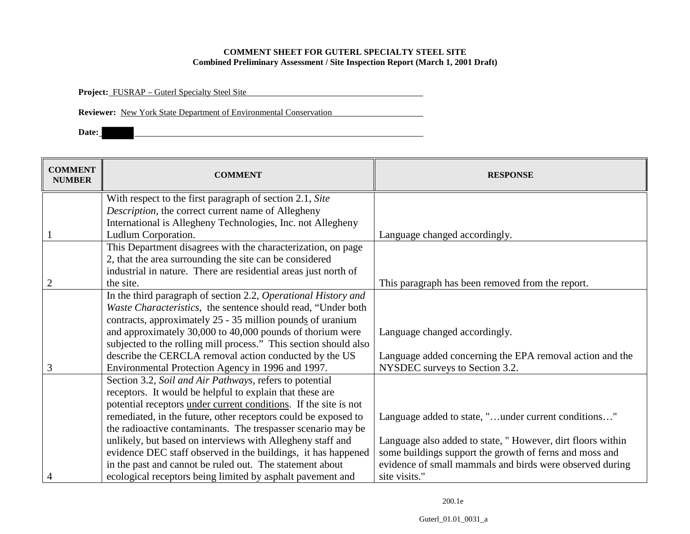## **COMMENT SHEET FOR GUTERL SPECIALTY STEEL SITE Combined Preliminary Assessment / Site Inspection Report (March 1, 2001 Draft)**

**Project:** FUSRAP – Guterl Specialty Steel Site

**Reviewer:** New York State Department of Environmental Conservation

**Date:**

| <b>COMMENT</b><br><b>NUMBER</b> | <b>COMMENT</b>                                                   | <b>RESPONSE</b>                                            |
|---------------------------------|------------------------------------------------------------------|------------------------------------------------------------|
|                                 | With respect to the first paragraph of section 2.1, Site         |                                                            |
|                                 | Description, the correct current name of Allegheny               |                                                            |
|                                 | International is Allegheny Technologies, Inc. not Allegheny      |                                                            |
|                                 | Ludlum Corporation.                                              | Language changed accordingly.                              |
|                                 | This Department disagrees with the characterization, on page     |                                                            |
|                                 | 2, that the area surrounding the site can be considered          |                                                            |
|                                 | industrial in nature. There are residential areas just north of  |                                                            |
| $\overline{2}$                  | the site.                                                        | This paragraph has been removed from the report.           |
|                                 | In the third paragraph of section 2.2, Operational History and   |                                                            |
|                                 | Waste Characteristics, the sentence should read, "Under both"    |                                                            |
|                                 | contracts, approximately 25 - 35 million pounds of uranium       |                                                            |
|                                 | and approximately 30,000 to 40,000 pounds of thorium were        | Language changed accordingly.                              |
|                                 | subjected to the rolling mill process." This section should also |                                                            |
|                                 | describe the CERCLA removal action conducted by the US           | Language added concerning the EPA removal action and the   |
| 3                               | Environmental Protection Agency in 1996 and 1997.                | NYSDEC surveys to Section 3.2.                             |
|                                 | Section 3.2, Soil and Air Pathways, refers to potential          |                                                            |
|                                 | receptors. It would be helpful to explain that these are         |                                                            |
|                                 | potential receptors under current conditions. If the site is not |                                                            |
|                                 | remediated, in the future, other receptors could be exposed to   | Language added to state, "under current conditions"        |
|                                 | the radioactive contaminants. The trespasser scenario may be     |                                                            |
|                                 | unlikely, but based on interviews with Allegheny staff and       | Language also added to state, "However, dirt floors within |
|                                 | evidence DEC staff observed in the buildings, it has happened    | some buildings support the growth of ferns and moss and    |
|                                 | in the past and cannot be ruled out. The statement about         | evidence of small mammals and birds were observed during   |
| $\overline{4}$                  | ecological receptors being limited by asphalt pavement and       | site visits."                                              |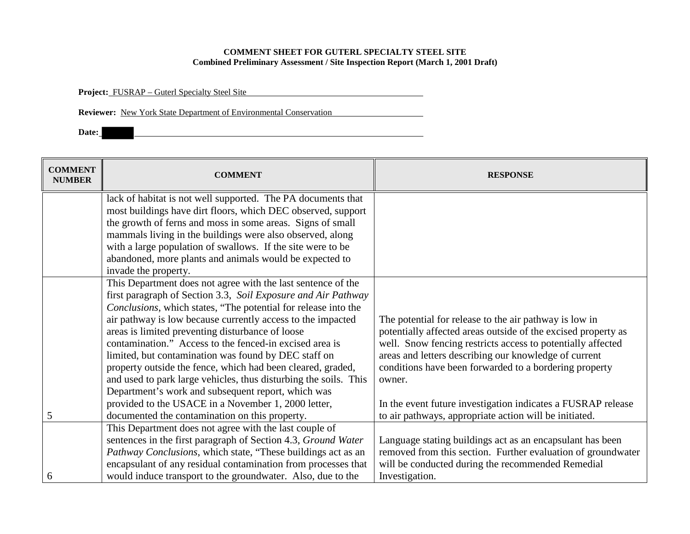## **COMMENT SHEET FOR GUTERL SPECIALTY STEEL SITE Combined Preliminary Assessment / Site Inspection Report (March 1, 2001 Draft)**

**Project:** FUSRAP – Guterl Specialty Steel Site

**Reviewer:** New York State Department of Environmental Conservation

**Date:**

| <b>COMMENT</b><br><b>NUMBER</b> | <b>COMMENT</b>                                                   | <b>RESPONSE</b>                                               |
|---------------------------------|------------------------------------------------------------------|---------------------------------------------------------------|
|                                 | lack of habitat is not well supported. The PA documents that     |                                                               |
|                                 | most buildings have dirt floors, which DEC observed, support     |                                                               |
|                                 | the growth of ferns and moss in some areas. Signs of small       |                                                               |
|                                 | mammals living in the buildings were also observed, along        |                                                               |
|                                 | with a large population of swallows. If the site were to be      |                                                               |
|                                 | abandoned, more plants and animals would be expected to          |                                                               |
|                                 | invade the property.                                             |                                                               |
|                                 | This Department does not agree with the last sentence of the     |                                                               |
|                                 | first paragraph of Section 3.3, Soil Exposure and Air Pathway    |                                                               |
|                                 | Conclusions, which states, "The potential for release into the   |                                                               |
|                                 | air pathway is low because currently access to the impacted      | The potential for release to the air pathway is low in        |
|                                 | areas is limited preventing disturbance of loose                 | potentially affected areas outside of the excised property as |
|                                 | contamination." Access to the fenced-in excised area is          | well. Snow fencing restricts access to potentially affected   |
|                                 | limited, but contamination was found by DEC staff on             | areas and letters describing our knowledge of current         |
|                                 | property outside the fence, which had been cleared, graded,      | conditions have been forwarded to a bordering property        |
|                                 | and used to park large vehicles, thus disturbing the soils. This | owner.                                                        |
|                                 | Department's work and subsequent report, which was               |                                                               |
|                                 | provided to the USACE in a November 1, 2000 letter,              | In the event future investigation indicates a FUSRAP release  |
| 5                               | documented the contamination on this property.                   | to air pathways, appropriate action will be initiated.        |
|                                 | This Department does not agree with the last couple of           |                                                               |
|                                 | sentences in the first paragraph of Section 4.3, Ground Water    | Language stating buildings act as an encapsulant has been     |
|                                 | Pathway Conclusions, which state, "These buildings act as an     | removed from this section. Further evaluation of groundwater  |
|                                 | encapsulant of any residual contamination from processes that    | will be conducted during the recommended Remedial             |
| 6                               | would induce transport to the groundwater. Also, due to the      | Investigation.                                                |